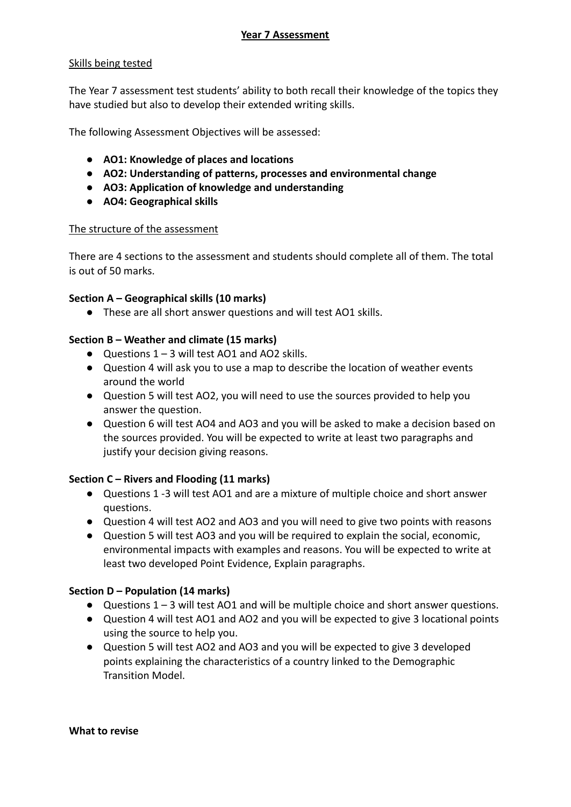# Skills being tested

The Year 7 assessment test students' ability to both recall their knowledge of the topics they have studied but also to develop their extended writing skills.

The following Assessment Objectives will be assessed:

- **● AO1: Knowledge of places and locations**
- **● AO2: Understanding of patterns, processes and environmental change**
- **● AO3: Application of knowledge and understanding**
- **● AO4: Geographical skills**

### The structure of the assessment

There are 4 sections to the assessment and students should complete all of them. The total is out of 50 marks.

### **Section A – Geographical skills (10 marks)**

**●** These are all short answer questions and will test AO1 skills.

### **Section B – Weather and climate (15 marks)**

- **●** Questions 1 3 will test AO1 and AO2 skills.
- **●** Question 4 will ask you to use a map to describe the location of weather events around the world
- **●** Question 5 will test AO2, you will need to use the sources provided to help you answer the question.
- **●** Question 6 will test AO4 and AO3 and you will be asked to make a decision based on the sources provided. You will be expected to write at least two paragraphs and justify your decision giving reasons.

# **Section C – Rivers and Flooding (11 marks)**

- Questions 1 -3 will test AO1 and are a mixture of multiple choice and short answer questions.
- Question 4 will test AO2 and AO3 and you will need to give two points with reasons
- Question 5 will test AO3 and you will be required to explain the social, economic, environmental impacts with examples and reasons. You will be expected to write at least two developed Point Evidence, Explain paragraphs.

#### **Section D – Population (14 marks)**

- $\bullet$  Questions 1 3 will test AO1 and will be multiple choice and short answer questions.
- Question 4 will test AO1 and AO2 and you will be expected to give 3 locational points using the source to help you.
- Question 5 will test AO2 and AO3 and you will be expected to give 3 developed points explaining the characteristics of a country linked to the Demographic Transition Model.